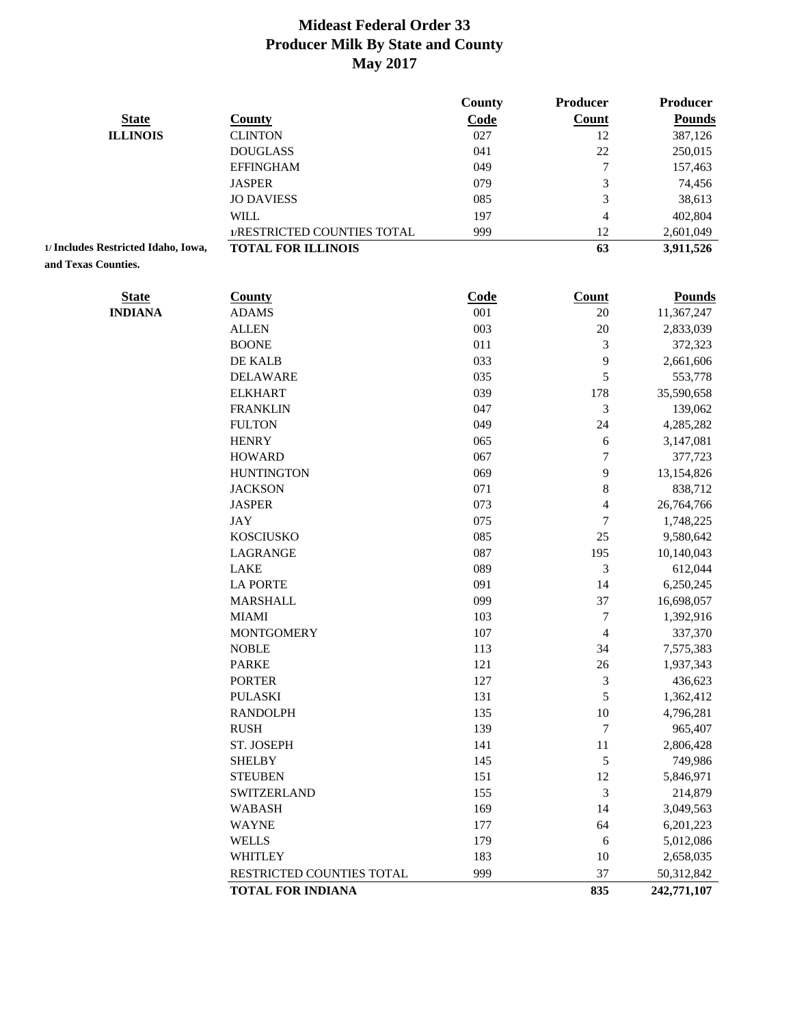|                                     |                             | <b>County</b> | Producer                 | Producer      |
|-------------------------------------|-----------------------------|---------------|--------------------------|---------------|
| <b>State</b>                        | <b>County</b>               | Code          | <b>Count</b>             | <b>Pounds</b> |
| <b>ILLINOIS</b>                     | <b>CLINTON</b>              | 027           | 12                       | 387,126       |
|                                     | <b>DOUGLASS</b>             | 041           | 22                       | 250,015       |
|                                     | <b>EFFINGHAM</b>            | 049           | $\overline{7}$           | 157,463       |
|                                     | <b>JASPER</b>               | 079           | 3                        | 74,456        |
|                                     | <b>JO DAVIESS</b>           | 085           | 3                        | 38,613        |
|                                     | <b>WILL</b>                 | 197           | $\overline{4}$           | 402,804       |
|                                     | 1/RESTRICTED COUNTIES TOTAL | 999           | 12                       | 2,601,049     |
| 1/ Includes Restricted Idaho, Iowa, | <b>TOTAL FOR ILLINOIS</b>   |               | 63                       | 3,911,526     |
| and Texas Counties.                 |                             |               |                          |               |
| <b>State</b>                        | <b>County</b>               | Code          | <b>Count</b>             | <b>Pounds</b> |
| <b>INDIANA</b>                      | <b>ADAMS</b>                | 001           | 20                       | 11,367,247    |
|                                     | <b>ALLEN</b>                | 003           | 20                       | 2,833,039     |
|                                     | <b>BOONE</b>                | 011           | 3                        | 372,323       |
|                                     | DE KALB                     | 033           | 9                        | 2,661,606     |
|                                     | <b>DELAWARE</b>             | 035           | 5                        | 553,778       |
|                                     | <b>ELKHART</b>              | 039           | 178                      | 35,590,658    |
|                                     | <b>FRANKLIN</b>             | 047           | 3                        | 139,062       |
|                                     | <b>FULTON</b>               | 049           | 24                       | 4,285,282     |
|                                     | <b>HENRY</b>                | 065           | 6                        | 3,147,081     |
|                                     | <b>HOWARD</b>               | 067           | 7                        | 377,723       |
|                                     | <b>HUNTINGTON</b>           | 069           | 9                        | 13,154,826    |
|                                     | <b>JACKSON</b>              | 071           | $\,$ 8 $\,$              | 838,712       |
|                                     | <b>JASPER</b>               | 073           | $\overline{\mathcal{L}}$ | 26,764,766    |
|                                     | <b>JAY</b>                  | 075           | $\overline{7}$           | 1,748,225     |
|                                     | <b>KOSCIUSKO</b>            | 085           | 25                       | 9,580,642     |
|                                     | LAGRANGE                    | 087           | 195                      | 10,140,043    |
|                                     | <b>LAKE</b>                 | 089           | 3                        | 612,044       |
|                                     | <b>LA PORTE</b>             | 091           | 14                       | 6,250,245     |
|                                     | <b>MARSHALL</b>             | 099           | 37                       | 16,698,057    |
|                                     | <b>MIAMI</b>                | 103           | 7                        | 1,392,916     |
|                                     | <b>MONTGOMERY</b>           | 107           | $\overline{4}$           | 337,370       |
|                                     | <b>NOBLE</b>                | 113           | 34                       | 7,575,383     |
|                                     | <b>PARKE</b>                | 121           | 26                       | 1,937,343     |
|                                     | <b>PORTER</b>               | 127           | 3                        | 436,623       |
|                                     | <b>PULASKI</b>              | 131           | 5                        | 1,362,412     |
|                                     | <b>RANDOLPH</b>             | 135           | $10\,$                   | 4,796,281     |
|                                     | <b>RUSH</b>                 | 139           | 7                        | 965,407       |
|                                     | ST. JOSEPH                  | 141           | 11                       | 2,806,428     |
|                                     | <b>SHELBY</b>               | 145           | 5                        | 749,986       |
|                                     | <b>STEUBEN</b>              | 151           | 12                       | 5,846,971     |
|                                     | <b>SWITZERLAND</b>          | 155           | 3                        | 214,879       |
|                                     | <b>WABASH</b>               | 169           | 14                       | 3,049,563     |
|                                     | <b>WAYNE</b>                | 177           | 64                       | 6,201,223     |
|                                     | <b>WELLS</b>                | 179           | 6                        | 5,012,086     |
|                                     |                             | 183           |                          |               |
|                                     | <b>WHITLEY</b>              |               | 10                       | 2,658,035     |
|                                     | RESTRICTED COUNTIES TOTAL   | 999           | 37                       | 50,312,842    |
|                                     | <b>TOTAL FOR INDIANA</b>    |               | 835                      | 242,771,107   |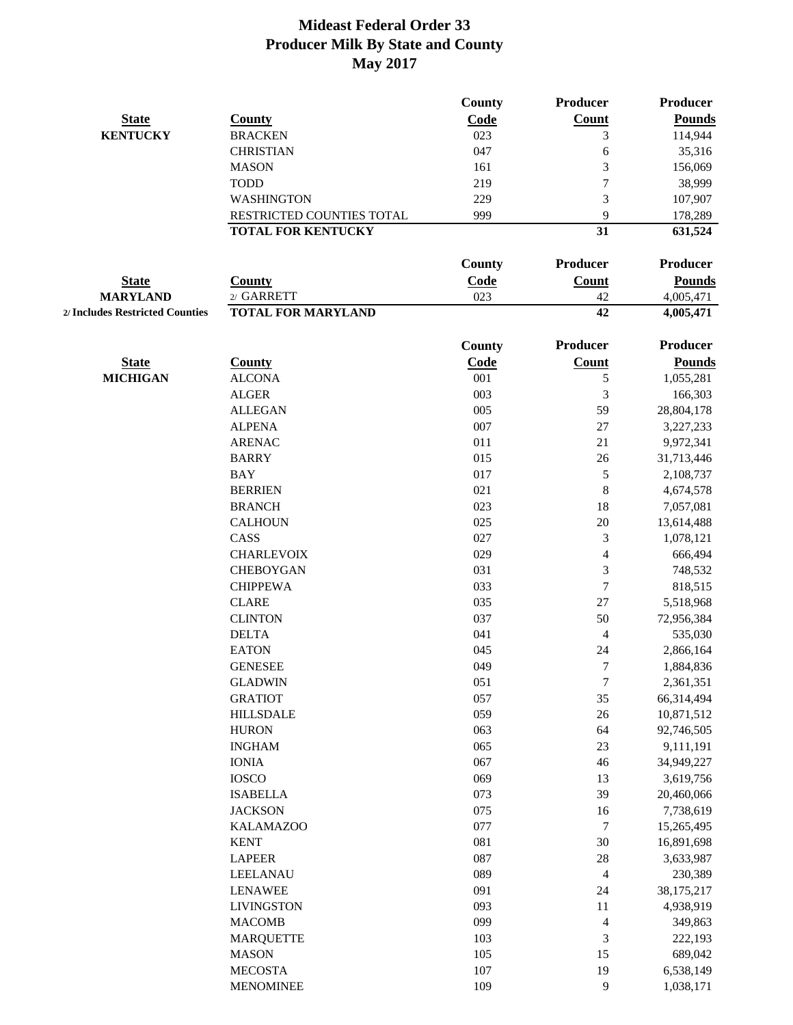|                                 |                           | County      | <b>Producer</b> | Producer      |
|---------------------------------|---------------------------|-------------|-----------------|---------------|
| <b>State</b>                    | <b>County</b>             | Code        | Count           | <b>Pounds</b> |
| <b>KENTUCKY</b>                 | <b>BRACKEN</b>            | 023         | 3               | 114,944       |
|                                 | <b>CHRISTIAN</b>          | 047         | 6               | 35,316        |
|                                 | <b>MASON</b>              | 161         | 3               | 156,069       |
|                                 | <b>TODD</b>               | 219         | $\tau$          | 38,999        |
|                                 | <b>WASHINGTON</b>         | 229         | 3               | 107,907       |
|                                 | RESTRICTED COUNTIES TOTAL | 999         | 9               | 178,289       |
|                                 | <b>TOTAL FOR KENTUCKY</b> |             | 31              | 631,524       |
|                                 |                           |             |                 |               |
|                                 |                           | County      | Producer        | Producer      |
| <b>State</b>                    | <b>County</b>             | Code        | <b>Count</b>    | <b>Pounds</b> |
| <b>MARYLAND</b>                 | 2/ GARRETT                | 023         | 42              | 4,005,471     |
| 2/ Includes Restricted Counties | <b>TOTAL FOR MARYLAND</b> |             | 42              | 4,005,471     |
|                                 |                           |             |                 |               |
|                                 |                           | County      | Producer        | Producer      |
| <b>State</b>                    | <b>County</b>             | <b>Code</b> | Count           | <b>Pounds</b> |
| <b>MICHIGAN</b>                 | <b>ALCONA</b>             | 001         | 5               | 1,055,281     |
|                                 | <b>ALGER</b>              | 003         | 3               | 166,303       |
|                                 | <b>ALLEGAN</b>            | 005         | 59              | 28,804,178    |
|                                 | <b>ALPENA</b>             | 007         | 27              | 3,227,233     |
|                                 | <b>ARENAC</b>             | 011         | 21              | 9,972,341     |
|                                 | <b>BARRY</b>              | 015         | 26              | 31,713,446    |
|                                 | <b>BAY</b>                | 017         | $\mathfrak s$   | 2,108,737     |
|                                 | <b>BERRIEN</b>            | 021         | $\,8\,$         | 4,674,578     |
|                                 | <b>BRANCH</b>             | 023         | 18              | 7,057,081     |
|                                 | <b>CALHOUN</b>            | 025         | 20              | 13,614,488    |
|                                 | CASS                      | 027         | $\mathfrak{Z}$  | 1,078,121     |
|                                 | <b>CHARLEVOIX</b>         | 029         | 4               | 666,494       |
|                                 | <b>CHEBOYGAN</b>          | 031         | 3               | 748,532       |
|                                 | <b>CHIPPEWA</b>           | 033         | $\tau$          | 818,515       |
|                                 | <b>CLARE</b>              | 035         | 27              | 5,518,968     |
|                                 | <b>CLINTON</b>            | 037         | 50              | 72,956,384    |
|                                 | <b>DELTA</b>              | 041         | 4               | 535,030       |
|                                 | <b>EATON</b>              | 045         | 24              | 2,866,164     |
|                                 | <b>GENESEE</b>            | 049         | 7               | 1,884,836     |
|                                 | <b>GLADWIN</b>            | 051         | $\tau$          | 2,361,351     |
|                                 | <b>GRATIOT</b>            | 057         | 35              | 66,314,494    |
|                                 |                           | 059         | $26\,$          |               |
|                                 | <b>HILLSDALE</b>          |             |                 | 10,871,512    |
|                                 | <b>HURON</b>              | 063         | 64              | 92,746,505    |
|                                 | <b>INGHAM</b>             | 065         | 23              | 9,111,191     |
|                                 | <b>IONIA</b>              | 067         | 46              | 34,949,227    |
|                                 | <b>IOSCO</b>              | 069         | 13              | 3,619,756     |
|                                 | <b>ISABELLA</b>           | 073         | 39              | 20,460,066    |
|                                 | <b>JACKSON</b>            | 075         | 16              | 7,738,619     |
|                                 | <b>KALAMAZOO</b>          | 077         | $\tau$          | 15,265,495    |
|                                 | <b>KENT</b>               | 081         | 30              | 16,891,698    |
|                                 | <b>LAPEER</b>             | 087         | 28              | 3,633,987     |
|                                 | LEELANAU                  | 089         | $\overline{4}$  | 230,389       |
|                                 | <b>LENAWEE</b>            | 091         | 24              | 38,175,217    |
|                                 | <b>LIVINGSTON</b>         | 093         | 11              | 4,938,919     |
|                                 | <b>MACOMB</b>             | 099         | $\overline{4}$  | 349,863       |
|                                 | <b>MARQUETTE</b>          | 103         | $\mathfrak{Z}$  | 222,193       |
|                                 | <b>MASON</b>              | 105         | 15              | 689,042       |
|                                 | <b>MECOSTA</b>            | 107         | 19              | 6,538,149     |
|                                 | <b>MENOMINEE</b>          | 109         | $\overline{9}$  | 1,038,171     |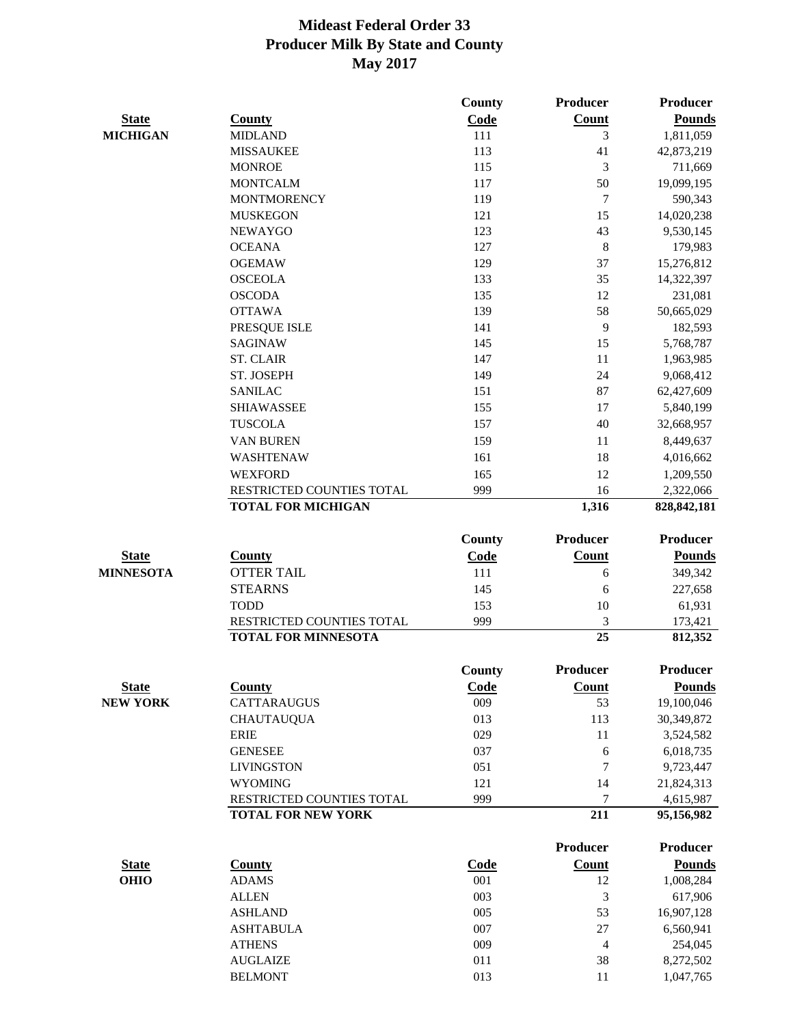|                  |                            | <b>County</b> | <b>Producer</b> | <b>Producer</b> |
|------------------|----------------------------|---------------|-----------------|-----------------|
| <b>State</b>     | <b>County</b>              | Code          | Count           | <b>Pounds</b>   |
| <b>MICHIGAN</b>  | <b>MIDLAND</b>             | 111           | 3               | 1,811,059       |
|                  | <b>MISSAUKEE</b>           | 113           | 41              | 42,873,219      |
|                  | <b>MONROE</b>              | 115           | 3               | 711,669         |
|                  | <b>MONTCALM</b>            | 117           | 50              | 19,099,195      |
|                  | <b>MONTMORENCY</b>         | 119           | 7               | 590,343         |
|                  | <b>MUSKEGON</b>            | 121           | 15              | 14,020,238      |
|                  | <b>NEWAYGO</b>             | 123           | 43              | 9,530,145       |
|                  | <b>OCEANA</b>              | 127           | $\,8\,$         | 179,983         |
|                  | <b>OGEMAW</b>              | 129           | 37              | 15,276,812      |
|                  | <b>OSCEOLA</b>             | 133           | 35              | 14,322,397      |
|                  | <b>OSCODA</b>              | 135           | 12              | 231,081         |
|                  | <b>OTTAWA</b>              | 139           | 58              | 50,665,029      |
|                  | PRESQUE ISLE               | 141           | 9               | 182,593         |
|                  | <b>SAGINAW</b>             | 145           | 15              | 5,768,787       |
|                  | <b>ST. CLAIR</b>           | 147           | 11              | 1,963,985       |
|                  | ST. JOSEPH                 | 149           | 24              | 9,068,412       |
|                  | <b>SANILAC</b>             | 151           | 87              | 62,427,609      |
|                  | <b>SHIAWASSEE</b>          | 155           | 17              | 5,840,199       |
|                  | <b>TUSCOLA</b>             | 157           | 40              | 32,668,957      |
|                  | <b>VAN BUREN</b>           | 159           | 11              | 8,449,637       |
|                  | <b>WASHTENAW</b>           | 161           | 18              | 4,016,662       |
|                  | <b>WEXFORD</b>             | 165           | 12              | 1,209,550       |
|                  | RESTRICTED COUNTIES TOTAL  | 999           | 16              | 2,322,066       |
|                  | <b>TOTAL FOR MICHIGAN</b>  |               | 1,316           | 828, 842, 181   |
|                  |                            |               |                 |                 |
|                  |                            | County        | <b>Producer</b> | <b>Producer</b> |
| <b>State</b>     | <b>County</b>              | Code          | Count           | <b>Pounds</b>   |
| <b>MINNESOTA</b> | <b>OTTER TAIL</b>          | 111           | 6               | 349,342         |
|                  | <b>STEARNS</b>             | 145           | 6               | 227,658         |
|                  | <b>TODD</b>                | 153           | 10              | 61,931          |
|                  | RESTRICTED COUNTIES TOTAL  | 999           | 3               | 173,421         |
|                  | <b>TOTAL FOR MINNESOTA</b> |               | $\overline{25}$ | 812,352         |
|                  |                            |               |                 |                 |
|                  |                            | <b>County</b> | <b>Producer</b> | Producer        |
| <b>State</b>     | <b>County</b>              | <u>Code</u>   | <b>Count</b>    | <b>Pounds</b>   |
| <b>NEW YORK</b>  | CATTARAUGUS                | 009           | 53              | 19,100,046      |
|                  | <b>CHAUTAUQUA</b>          | 013           | 113             | 30,349,872      |
|                  | <b>ERIE</b>                | 029           | 11              | 3,524,582       |
|                  | <b>GENESEE</b>             | 037           | 6               | 6,018,735       |
|                  | <b>LIVINGSTON</b>          | 051           | 7               | 9,723,447       |
|                  | <b>WYOMING</b>             | 121           | 14              | 21,824,313      |
|                  | RESTRICTED COUNTIES TOTAL  | 999           | 7               | 4,615,987       |
|                  | <b>TOTAL FOR NEW YORK</b>  |               | 211             | 95,156,982      |
|                  |                            |               | <b>Producer</b> | Producer        |
|                  |                            |               |                 |                 |
| <b>State</b>     | <b>County</b>              | <b>Code</b>   | <b>Count</b>    | <b>Pounds</b>   |
| <b>OHIO</b>      | <b>ADAMS</b>               | 001           | 12              | 1,008,284       |
|                  | <b>ALLEN</b>               | 003           | 3               | 617,906         |
|                  | <b>ASHLAND</b>             | 005           | 53              | 16,907,128      |
|                  | <b>ASHTABULA</b>           | 007           | 27              | 6,560,941       |
|                  | <b>ATHENS</b>              | 009           | 4               | 254,045         |
|                  | <b>AUGLAIZE</b>            | 011           | 38              | 8,272,502       |
|                  | <b>BELMONT</b>             | 013           | 11              | 1,047,765       |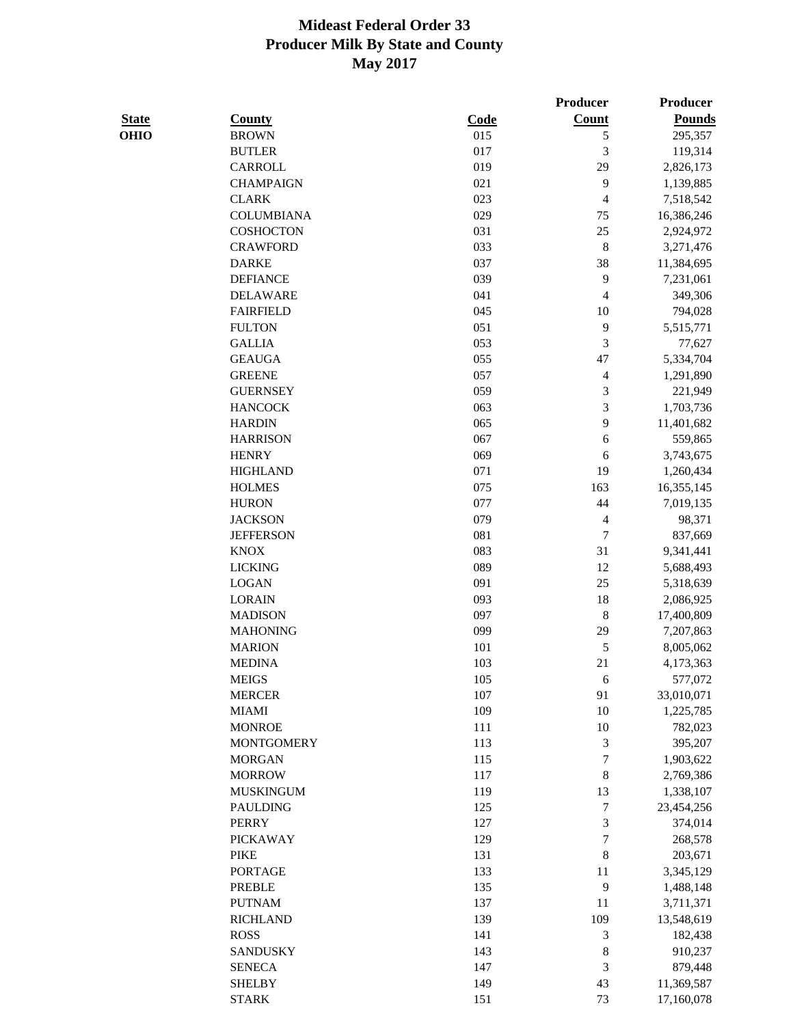|              |                   |      | <b>Producer</b>          | Producer      |
|--------------|-------------------|------|--------------------------|---------------|
| <b>State</b> | <b>County</b>     | Code | <b>Count</b>             | <b>Pounds</b> |
| <b>OHIO</b>  | <b>BROWN</b>      | 015  | 5                        | 295,357       |
|              | <b>BUTLER</b>     | 017  | 3                        | 119,314       |
|              | CARROLL           | 019  | 29                       | 2,826,173     |
|              | <b>CHAMPAIGN</b>  | 021  | 9                        | 1,139,885     |
|              | <b>CLARK</b>      | 023  | $\overline{4}$           | 7,518,542     |
|              | <b>COLUMBIANA</b> | 029  | 75                       | 16,386,246    |
|              | <b>COSHOCTON</b>  | 031  | 25                       | 2,924,972     |
|              | <b>CRAWFORD</b>   | 033  | $\,$ 8 $\,$              | 3,271,476     |
|              | <b>DARKE</b>      | 037  | 38                       | 11,384,695    |
|              | <b>DEFIANCE</b>   | 039  | $\mathbf{9}$             | 7,231,061     |
|              | <b>DELAWARE</b>   | 041  | $\overline{\mathcal{L}}$ | 349,306       |
|              | <b>FAIRFIELD</b>  | 045  | 10                       | 794,028       |
|              | <b>FULTON</b>     | 051  | 9                        | 5,515,771     |
|              | <b>GALLIA</b>     | 053  | 3                        | 77,627        |
|              | <b>GEAUGA</b>     | 055  | 47                       | 5,334,704     |
|              | <b>GREENE</b>     | 057  | 4                        | 1,291,890     |
|              | <b>GUERNSEY</b>   | 059  | 3                        | 221,949       |
|              | <b>HANCOCK</b>    | 063  | 3                        | 1,703,736     |
|              | <b>HARDIN</b>     | 065  | 9                        | 11,401,682    |
|              | <b>HARRISON</b>   | 067  | 6                        | 559,865       |
|              | <b>HENRY</b>      | 069  | $\sqrt{6}$               | 3,743,675     |
|              | <b>HIGHLAND</b>   | 071  | 19                       | 1,260,434     |
|              | <b>HOLMES</b>     | 075  | 163                      | 16,355,145    |
|              | <b>HURON</b>      | 077  | 44                       | 7,019,135     |
|              | <b>JACKSON</b>    | 079  | $\overline{4}$           | 98,371        |
|              | <b>JEFFERSON</b>  | 081  | $\overline{7}$           | 837,669       |
|              | <b>KNOX</b>       | 083  | 31                       | 9,341,441     |
|              | <b>LICKING</b>    | 089  | 12                       | 5,688,493     |
|              | <b>LOGAN</b>      | 091  | 25                       | 5,318,639     |
|              | <b>LORAIN</b>     | 093  | 18                       | 2,086,925     |
|              | <b>MADISON</b>    | 097  | $\,$ 8 $\,$              | 17,400,809    |
|              | <b>MAHONING</b>   | 099  | 29                       | 7,207,863     |
|              | <b>MARION</b>     | 101  | 5                        | 8,005,062     |
|              | <b>MEDINA</b>     | 103  | 21                       | 4,173,363     |
|              | <b>MEIGS</b>      | 105  | 6                        | 577,072       |
|              | <b>MERCER</b>     | 107  | 91                       | 33,010,071    |
|              | <b>MIAMI</b>      | 109  | $10\,$                   | 1,225,785     |
|              | <b>MONROE</b>     | 111  | 10                       | 782,023       |
|              | <b>MONTGOMERY</b> | 113  | 3                        | 395,207       |
|              | <b>MORGAN</b>     | 115  | $\boldsymbol{7}$         | 1,903,622     |
|              | <b>MORROW</b>     | 117  | 8                        | 2,769,386     |
|              | <b>MUSKINGUM</b>  | 119  | 13                       | 1,338,107     |
|              | <b>PAULDING</b>   | 125  | $\boldsymbol{7}$         | 23,454,256    |
|              | <b>PERRY</b>      | 127  | 3                        | 374,014       |
|              | <b>PICKAWAY</b>   | 129  | 7                        | 268,578       |
|              | <b>PIKE</b>       | 131  | $\,$ 8 $\,$              | 203,671       |
|              | <b>PORTAGE</b>    | 133  | 11                       | 3,345,129     |
|              | <b>PREBLE</b>     | 135  | 9                        | 1,488,148     |
|              | <b>PUTNAM</b>     | 137  | 11                       | 3,711,371     |
|              | <b>RICHLAND</b>   | 139  | 109                      | 13,548,619    |
|              | <b>ROSS</b>       | 141  | 3                        | 182,438       |
|              | <b>SANDUSKY</b>   | 143  | $\,$ 8 $\,$              | 910,237       |
|              | <b>SENECA</b>     | 147  | 3                        | 879,448       |
|              | <b>SHELBY</b>     | 149  | 43                       | 11,369,587    |
|              | <b>STARK</b>      | 151  | 73                       | 17,160,078    |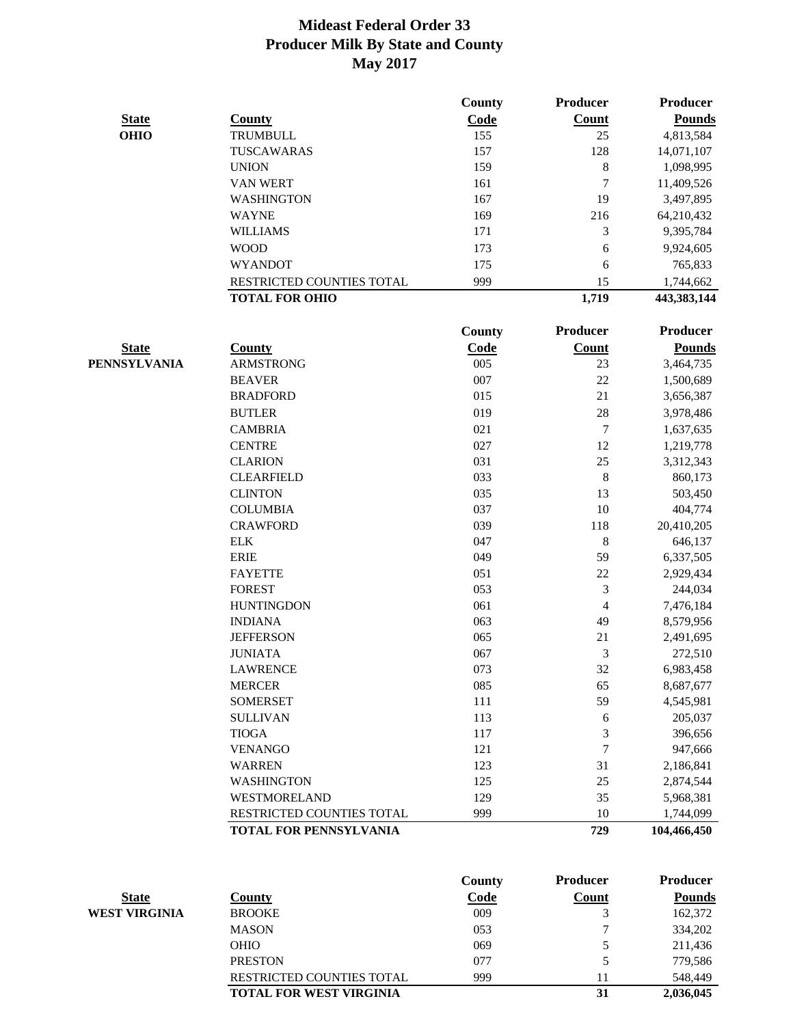|              |                               | County        | <b>Producer</b> | <b>Producer</b> |
|--------------|-------------------------------|---------------|-----------------|-----------------|
| <b>State</b> | <b>County</b>                 | Code          | <b>Count</b>    | <b>Pounds</b>   |
| <b>OHIO</b>  | <b>TRUMBULL</b>               | 155           | 25              | 4,813,584       |
|              | TUSCAWARAS                    | 157           | 128             | 14,071,107      |
|              | <b>UNION</b>                  | 159           | 8               | 1,098,995       |
|              | <b>VAN WERT</b>               | 161           | 7               | 11,409,526      |
|              | <b>WASHINGTON</b>             | 167           | 19              | 3,497,895       |
|              | <b>WAYNE</b>                  | 169           | 216             | 64,210,432      |
|              | <b>WILLIAMS</b>               | 171           | 3               | 9,395,784       |
|              | <b>WOOD</b>                   | 173           | 6               | 9,924,605       |
|              | <b>WYANDOT</b>                | 175           | 6               | 765,833         |
|              | RESTRICTED COUNTIES TOTAL     | 999           | 15              | 1,744,662       |
|              | <b>TOTAL FOR OHIO</b>         |               | 1,719           | 443,383,144     |
|              |                               |               |                 |                 |
|              |                               | <b>County</b> | <b>Producer</b> | <b>Producer</b> |
| <b>State</b> | <b>County</b>                 | Code          | <b>Count</b>    | <b>Pounds</b>   |
| PENNSYLVANIA | <b>ARMSTRONG</b>              | 005           | 23              | 3,464,735       |
|              | <b>BEAVER</b>                 | 007           | 22              | 1,500,689       |
|              | <b>BRADFORD</b>               | 015           | 21              | 3,656,387       |
|              | <b>BUTLER</b>                 | 019           | 28              | 3,978,486       |
|              | <b>CAMBRIA</b>                | 021           | $\overline{7}$  | 1,637,635       |
|              | <b>CENTRE</b>                 | 027           | 12              | 1,219,778       |
|              | <b>CLARION</b>                | 031           | 25              | 3,312,343       |
|              | <b>CLEARFIELD</b>             | 033           | $\,$ $\,$       | 860,173         |
|              | <b>CLINTON</b>                | 035           | 13              | 503,450         |
|              | <b>COLUMBIA</b>               | 037           | 10              | 404,774         |
|              | <b>CRAWFORD</b>               | 039           | 118             | 20,410,205      |
|              | <b>ELK</b>                    | 047           | $\,$ 8 $\,$     | 646,137         |
|              | <b>ERIE</b>                   | 049           | 59              | 6,337,505       |
|              | <b>FAYETTE</b>                | 051           | 22              | 2,929,434       |
|              | <b>FOREST</b>                 | 053           | $\mathfrak{Z}$  | 244,034         |
|              | <b>HUNTINGDON</b>             | 061           | $\overline{4}$  | 7,476,184       |
|              | <b>INDIANA</b>                | 063           | 49              | 8,579,956       |
|              | <b>JEFFERSON</b>              | 065           | 21              | 2,491,695       |
|              | <b>JUNIATA</b>                | 067           | 3               | 272,510         |
|              | <b>LAWRENCE</b>               | 073           | 32              | 6,983,458       |
|              | <b>MERCER</b>                 | 085           | 65              | 8,687,677       |
|              | <b>SOMERSET</b>               | 111           | 59              | 4,545,981       |
|              | <b>SULLIVAN</b>               | 113           | 6               | 205,037         |
|              | <b>TIOGA</b>                  | 117           | 3               | 396,656         |
|              | <b>VENANGO</b>                | 121           | 7               | 947,666         |
|              | <b>WARREN</b>                 | 123           | 31              | 2,186,841       |
|              | <b>WASHINGTON</b>             | 125           | 25              | 2,874,544       |
|              | WESTMORELAND                  | 129           | 35              | 5,968,381       |
|              | RESTRICTED COUNTIES TOTAL     | 999           | 10              | 1,744,099       |
|              | <b>TOTAL FOR PENNSYLVANIA</b> |               | 729             | 104,466,450     |

|               |                                  | <b>County</b> | <b>Producer</b> | <b>Producer</b> |
|---------------|----------------------------------|---------------|-----------------|-----------------|
| <b>State</b>  | County                           | Code          | Count           | <b>Pounds</b>   |
| WEST VIRGINIA | <b>BROOKE</b>                    | 009           |                 | 162,372         |
|               | <b>MASON</b>                     | 053           |                 | 334,202         |
|               | <b>OHIO</b>                      | 069           |                 | 211,436         |
|               | <b>PRESTON</b>                   | 077           | 5               | 779,586         |
|               | <b>RESTRICTED COUNTIES TOTAL</b> | 999           |                 | 548,449         |
|               | <b>TOTAL FOR WEST VIRGINIA</b>   |               | 31              | 2,036,045       |